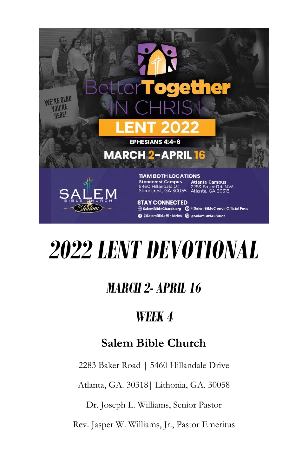

# *2022 LENT DEVOTIONAL*

## *MARCH 2- APRIL 16*

## *WEEK 4*

### **Salem Bible Church**

2283 Baker Road | 5460 Hillandale Drive

Atlanta, GA. 30318| Lithonia, GA. 30058

Dr. Joseph L. Williams, Senior Pastor

Rev. Jasper W. Williams, Jr., Pastor Emeritus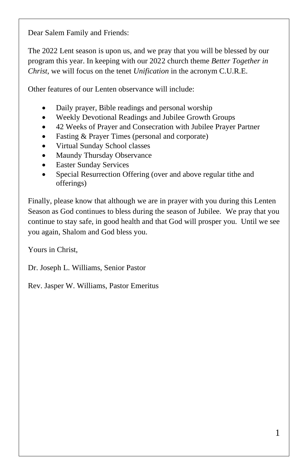Dear Salem Family and Friends:

The 2022 Lent season is upon us, and we pray that you will be blessed by our program this year. In keeping with our 2022 church theme *Better Together in Christ*, we will focus on the tenet *Unification* in the acronym C.U.R.E.

Other features of our Lenten observance will include:

- Daily prayer, Bible readings and personal worship
- Weekly Devotional Readings and Jubilee Growth Groups
- 42 Weeks of Prayer and Consecration with Jubilee Prayer Partner
- Fasting & Prayer Times (personal and corporate)
- Virtual Sunday School classes
- Maundy Thursday Observance
- **Easter Sunday Services**
- Special Resurrection Offering (over and above regular tithe and offerings)

Finally, please know that although we are in prayer with you during this Lenten Season as God continues to bless during the season of Jubilee. We pray that you continue to stay safe, in good health and that God will prosper you. Until we see you again, Shalom and God bless you.

Yours in Christ,

Dr. Joseph L. Williams, Senior Pastor

Rev. Jasper W. Williams, Pastor Emeritus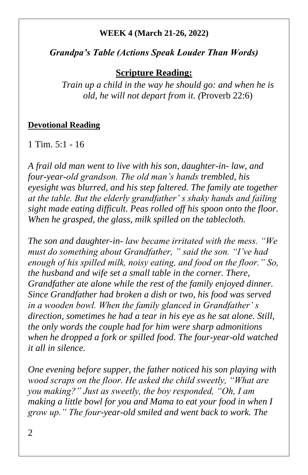#### **WEEK 4 (March 21-26, 2022)**

#### *Grandpa's Table (Actions Speak Louder Than Words)*

#### **Scripture Reading:**

*Train up a child in the way he should go: and when he is old, he will not depart from it. (*Proverb 22:6)

#### **Devotional Reading**

 $1$  Tim.  $5:1 - 16$ 

*A frail old man went to live with his son, daughter-in- law, and four-year-old grandson. The old man's hands trembled, his eyesight was blurred, and his step faltered. The family ate together at the table. But the elderly grandfather' s shaky hands and failing sight made eating difficult. Peas rolled off his spoon onto the floor. When he grasped, the glass, milk spilled on the tablecloth.*

*The son and daughter-in- law became irritated with the mess. "We must do something about Grandfather, " said the son. "I've had enough of his spilled milk, noisy eating, and food on the floor." So, the husband and wife set a small table in the corner. There, Grandfather ate alone while the rest of the family enjoyed dinner. Since Grandfather had broken a dish or two, his food was served in a wooden bowl. When the family glanced in Grandfather' s direction, sometimes he had a tear in his eye as he sat alone. Still, the only words the couple had for him were sharp admonitions when he dropped a fork or spilled food. The four-year-old watched it all in silence.*

*One evening before supper, the father noticed his son playing with wood scraps on the floor. He asked the child sweetly, "What are you making?" Just as sweetly, the boy responded, "Oh, I am making a little bowl for you and Mama to eat your food in when I grow up." The four-year-old smiled and went back to work. The*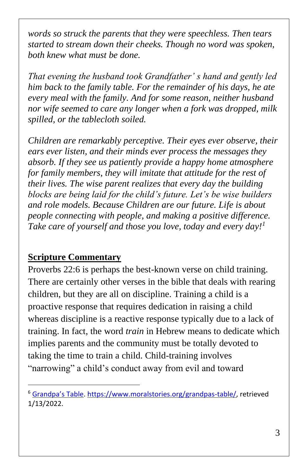*words so struck the parents that they were speechless. Then tears started to stream down their cheeks. Though no word was spoken, both knew what must be done.*

*That evening the husband took Grandfather' s hand and gently led him back to the family table. For the remainder of his days, he ate every meal with the family. And for some reason, neither husband nor wife seemed to care any longer when a fork was dropped, milk spilled, or the tablecloth soiled.*

*Children are remarkably perceptive. Their eyes ever observe, their ears ever listen, and their minds ever process the messages they absorb. If they see us patiently provide a happy home atmosphere for family members, they will imitate that attitude for the rest of their lives. The wise parent realizes that every day the building blocks are being laid for the child's future. Let's be wise builders and role models. Because Children are our future. Life is about people connecting with people, and making a positive difference. Take care of yourself and those you love, today and every day!<sup>1</sup>*

#### **Scripture Commentary**

Proverbs 22:6 is perhaps the best-known verse on child training. There are certainly other verses in the bible that deals with rearing children, but they are all on discipline. Training a child is a proactive response that requires dedication in raising a child whereas discipline is a reactive response typically due to a lack of training. In fact, the word *train* in Hebrew means to dedicate which implies parents and the community must be totally devoted to taking the time to train a child. Child-training involves "narrowing" a child's conduct away from evil and toward

<sup>&</sup>lt;sup>6</sup> [Grandpa's Table](https://www.moralstories.org/grandpas-table/)[. https://www.moralstories.org/grandpas-table/,](https://www.moralstories.org/grandpas-table/) retrieved 1/13/2022.